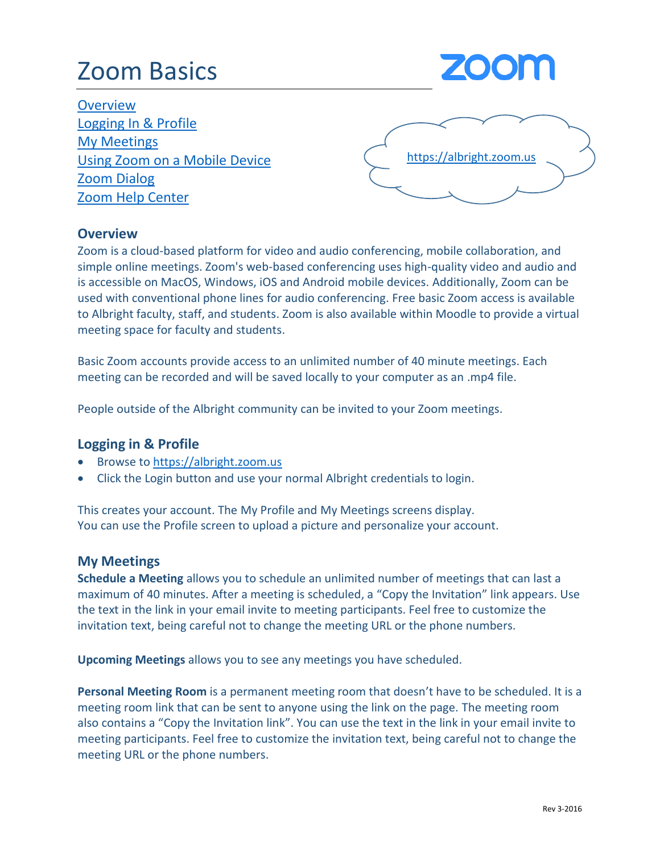# Zoom Basics



**Overview** Logging In & Profile My Meetings Using Zoom on a Mobile Device Zoom Dialog [Zoom Help Center](https://support.zoom.us/hc/en-us/articles/201362193-How-do-I-join-a-video-meeting-)



#### **Overview**

Zoom is a cloud-based platform for video and audio conferencing, mobile collaboration, and simple online meetings. Zoom's web-based conferencing uses high-quality video and audio and is accessible on MacOS, Windows, iOS and Android mobile devices. Additionally, Zoom can be used with conventional phone lines for audio conferencing. Free basic Zoom access is available to Albright faculty, staff, and students. Zoom is also available within Moodle to provide a virtual meeting space for faculty and students.

Basic Zoom accounts provide access to an unlimited number of 40 minute meetings. Each meeting can be recorded and will be saved locally to your computer as an .mp4 file.

People outside of the Albright community can be invited to your Zoom meetings.

#### **Logging in & Profile**

- Browse to [https://albright.zoom.us](https://albright.zoom.us/)
- Click the Login button and use your normal Albright credentials to login.

This creates your account. The My Profile and My Meetings screens display. You can use the Profile screen to upload a picture and personalize your account.

#### **My Meetings**

**Schedule a Meeting** allows you to schedule an unlimited number of meetings that can last a maximum of 40 minutes. After a meeting is scheduled, a "Copy the Invitation" link appears. Use the text in the link in your email invite to meeting participants. Feel free to customize the invitation text, being careful not to change the meeting URL or the phone numbers.

**Upcoming Meetings** allows you to see any meetings you have scheduled.

**Personal Meeting Room** is a permanent meeting room that doesn't have to be scheduled. It is a meeting room link that can be sent to anyone using the link on the page. The meeting room also contains a "Copy the Invitation link". You can use the text in the link in your email invite to meeting participants. Feel free to customize the invitation text, being careful not to change the meeting URL or the phone numbers.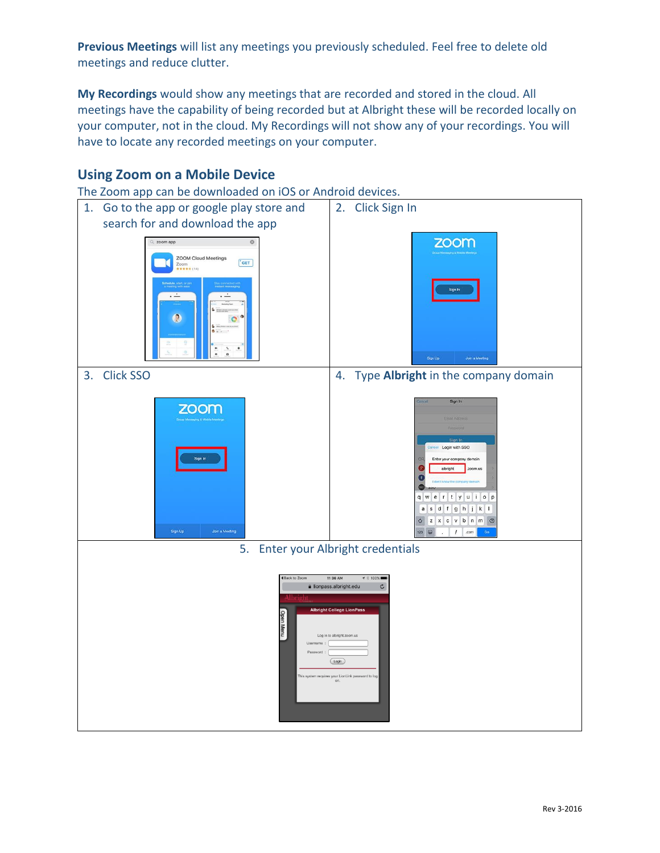**Previous Meetings** will list any meetings you previously scheduled. Feel free to delete old meetings and reduce clutter.

**My Recordings** would show any meetings that are recorded and stored in the cloud. All meetings have the capability of being recorded but at Albright these will be recorded locally on your computer, not in the cloud. My Recordings will not show any of your recordings. You will have to locate any recorded meetings on your computer.

### **Using Zoom on a Mobile Device**

The Zoom app can be downloaded on iOS or Android devices.